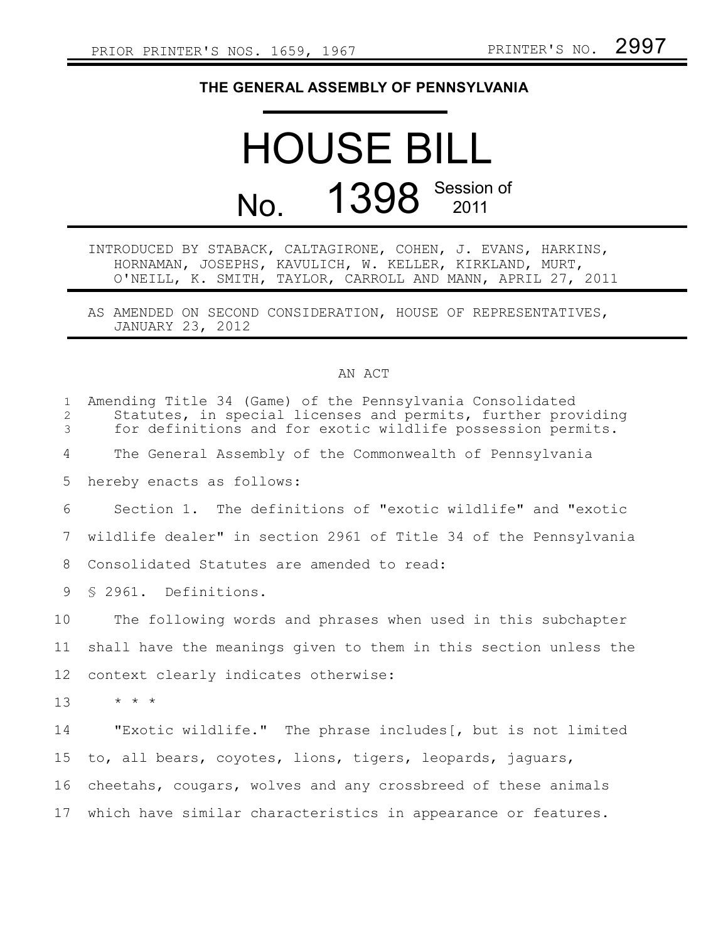### **THE GENERAL ASSEMBLY OF PENNSYLVANIA**

# HOUSE BILL No. 1398 Session of

INTRODUCED BY STABACK, CALTAGIRONE, COHEN, J. EVANS, HARKINS, HORNAMAN, JOSEPHS, KAVULICH, W. KELLER, KIRKLAND, MURT, O'NEILL, K. SMITH, TAYLOR, CARROLL AND MANN, APRIL 27, 2011

AS AMENDED ON SECOND CONSIDERATION, HOUSE OF REPRESENTATIVES, JANUARY 23, 2012

#### AN ACT

| $\mathbf{1}$<br>2<br>3 | Amending Title 34 (Game) of the Pennsylvania Consolidated<br>Statutes, in special licenses and permits, further providing<br>for definitions and for exotic wildlife possession permits. |
|------------------------|------------------------------------------------------------------------------------------------------------------------------------------------------------------------------------------|
| 4                      | The General Assembly of the Commonwealth of Pennsylvania                                                                                                                                 |
| 5                      | hereby enacts as follows:                                                                                                                                                                |
| 6                      | Section 1. The definitions of "exotic wildlife" and "exotic                                                                                                                              |
| 7                      | wildlife dealer" in section 2961 of Title 34 of the Pennsylvania                                                                                                                         |
| 8                      | Consolidated Statutes are amended to read:                                                                                                                                               |
| 9                      | \$ 2961. Definitions.                                                                                                                                                                    |
| 10                     | The following words and phrases when used in this subchapter                                                                                                                             |
| 11                     | shall have the meanings given to them in this section unless the                                                                                                                         |
| 12                     | context clearly indicates otherwise:                                                                                                                                                     |
| 13                     | $\star$ $\star$ $\star$                                                                                                                                                                  |
| 14                     | "Exotic wildlife." The phrase includes [, but is not limited                                                                                                                             |
| 15                     | to, all bears, coyotes, lions, tigers, leopards, jaguars,                                                                                                                                |
| 16                     | cheetahs, cougars, wolves and any crossbreed of these animals                                                                                                                            |
| 17                     | which have similar characteristics in appearance or features.                                                                                                                            |
|                        |                                                                                                                                                                                          |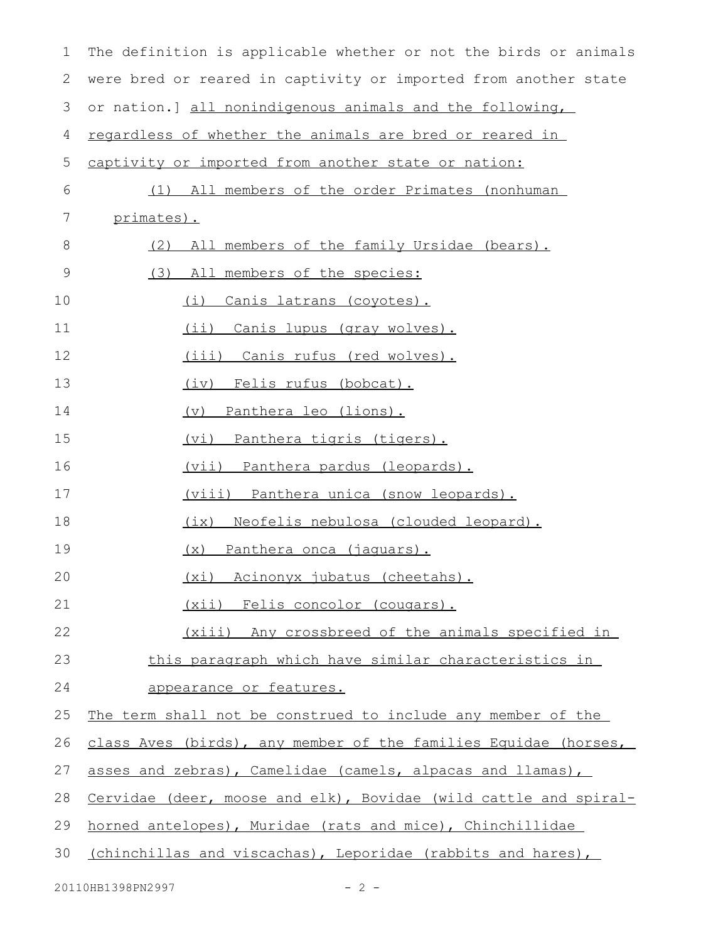| $\mathbf 1$ | The definition is applicable whether or not the birds or animals |
|-------------|------------------------------------------------------------------|
| 2           | were bred or reared in captivity or imported from another state  |
| 3           | or nation.] all nonindigenous animals and the following,         |
| 4           | regardless of whether the animals are bred or reared in          |
| 5           | captivity or imported from another state or nation:              |
| 6           | (1) All members of the order Primates (nonhuman                  |
| 7           | primates).                                                       |
| 8           | All members of the family Ursidae (bears).<br>(2)                |
| 9           | (3)<br>All members of the species:                               |
| 10          | Canis latrans (coyotes).<br>(i)                                  |
| 11          | (ii) Canis lupus (gray wolves).                                  |
| 12          | (iii) Canis rufus (red wolves).                                  |
| 13          | (iv) Felis rufus (bobcat).                                       |
| 14          | (v) Panthera leo (lions).                                        |
| 15          | <u>(vi) Panthera tigris (tigers).</u>                            |
| 16          | <u>(vii) Panthera pardus (leopards).</u>                         |
| 17          | <u>(viii) Panthera unica (snow leopards).</u>                    |
| 18          | (ix) Neofelis nebulosa (clouded leopard).                        |
| 19          | (x) Panthera onca (jaquars).                                     |
| 20          | (xi) Acinonyx jubatus (cheetahs).                                |
| 21          | (xii) Felis concolor (cougars).                                  |
| 22          | (xiii) Any crossbreed of the animals specified in                |
| 23          | this paragraph which have similar characteristics in             |
| 24          | appearance or features.                                          |
| 25          | The term shall not be construed to include any member of the     |
| 26          | class Aves (birds), any member of the families Equidae (horses,  |
| 27          | asses and zebras), Camelidae (camels, alpacas and llamas),       |
| 28          | Cervidae (deer, moose and elk), Bovidae (wild cattle and spiral- |
| 29          | horned antelopes), Muridae (rats and mice), Chinchillidae        |
| 30          | (chinchillas and viscachas), Leporidae (rabbits and hares),      |
|             |                                                                  |

20110HB1398PN2997 - 2 -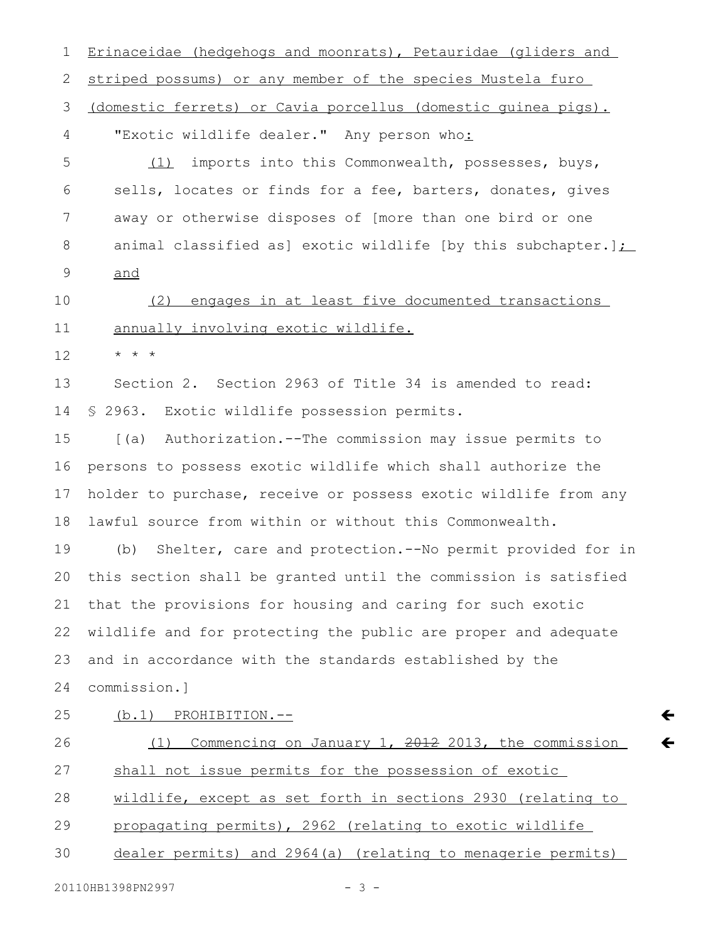Erinaceidae (hedgehogs and moonrats), Petauridae (gliders and striped possums) or any member of the species Mustela furo (domestic ferrets) or Cavia porcellus (domestic guinea pigs). "Exotic wildlife dealer." Any person who: (1) imports into this Commonwealth, possesses, buys, sells, locates or finds for a fee, barters, donates, gives away or otherwise disposes of [more than one bird or one animal classified as] exotic wildlife [by this subchapter.] $\sum$ and (2) engages in at least five documented transactions annually involving exotic wildlife. \* \* \* Section 2. Section 2963 of Title 34 is amended to read: § 2963. Exotic wildlife possession permits. [(a) Authorization.--The commission may issue permits to persons to possess exotic wildlife which shall authorize the holder to purchase, receive or possess exotic wildlife from any lawful source from within or without this Commonwealth. (b) Shelter, care and protection.--No permit provided for in this section shall be granted until the commission is satisfied that the provisions for housing and caring for such exotic wildlife and for protecting the public are proper and adequate and in accordance with the standards established by the commission.] (b.1) PROHIBITION.--(1) Commencing on January 1,  $2012$  2013, the commission shall not issue permits for the possession of exotic wildlife, except as set forth in sections 2930 (relating to propagating permits), 2962 (relating to exotic wildlife dealer permits) and 2964(a) (relating to menagerie permits) 20110HB1398PN2997 - 3 -1 2 3 4 5 6 7 8 9 10 11 12 13 14 15 16 17 18 19 20 21 22 23 24 25 26 27 28 29 30

 $\leftarrow$ 

 $\leftarrow$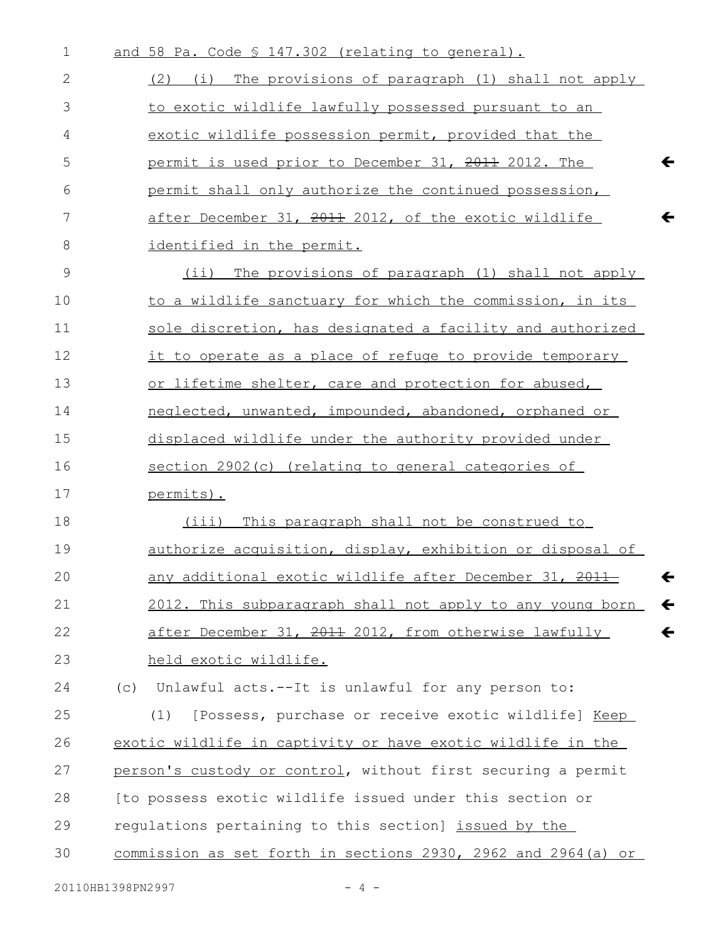| $\mathbf 1$ | and 58 Pa. Code § 147.302 (relating to general).                          |
|-------------|---------------------------------------------------------------------------|
| 2           | (2) (i) The provisions of paragraph (1) shall not apply                   |
| 3           | to exotic wildlife lawfully possessed pursuant to an                      |
| 4           | exotic wildlife possession permit, provided that the                      |
| 5           | $\leftarrow$<br>permit is used prior to December 31, 2011 2012. The       |
| 6           | permit shall only authorize the continued possession,                     |
| 7           | after December 31, 2011 2012, of the exotic wildlife                      |
| 8           | identified in the permit.                                                 |
| 9           | The provisions of paragraph (1) shall not apply<br>(i)                    |
| 10          | to a wildlife sanctuary for which the commission, in its                  |
| 11          | sole discretion, has designated a facility and authorized                 |
| 12          | it to operate as a place of refuge to provide temporary                   |
| 13          | or lifetime shelter, care and protection for abused,                      |
| 14          | neglected, unwanted, impounded, abandoned, orphaned or                    |
| 15          | displaced wildlife under the authority provided under                     |
| 16          | section 2902(c) (relating to general categories of                        |
| 17          | permits).                                                                 |
| 18          | (iii)<br>This paragraph shall not be construed to                         |
| 19          | <u>authorize acquisition, display, exhibition or disposal of</u>          |
| 20          | any additional exotic wildlife after December 31, 2011-                   |
| 21          | $\leftarrow$<br>2012. This subparagraph shall not apply to any young born |
| 22          | after December 31, 2011 2012, from otherwise lawfully<br>$\leftarrow$     |
| 23          | held exotic wildlife.                                                     |
| 24          | Unlawful acts.--It is unlawful for any person to:<br>(C)                  |
| 25          | [Possess, purchase or receive exotic wildlife] Keep<br>(1)                |
| 26          | exotic wildlife in captivity or have exotic wildlife in the               |
| 27          | person's custody or control, without first securing a permit              |
| 28          | [to possess exotic wildlife issued under this section or                  |
| 29          | regulations pertaining to this section] issued by the                     |
| 30          | commission as set forth in sections 2930, 2962 and 2964(a) or             |
|             |                                                                           |